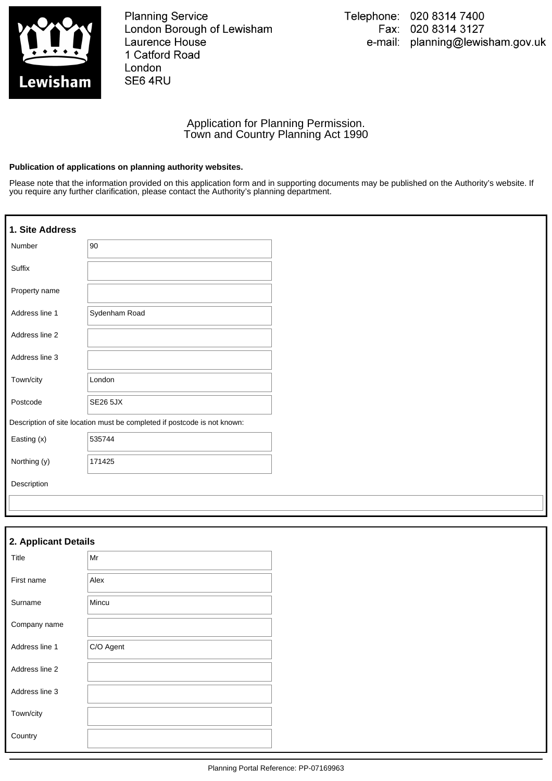

**Planning Service** London Borough of Lewisham **Laurence House** 1 Catford Road London SE6 4RU

### Application for Planning Permission. Town and Country Planning Act 1990

#### **Publication of applications on planning authority websites.**

Please note that the information provided on this application form and in supporting documents may be published on the Authority's website. If you require any further clarification, please contact the Authority's planning department.

| 1. Site Address                                                          |                 |  |
|--------------------------------------------------------------------------|-----------------|--|
| Number                                                                   | 90              |  |
| Suffix                                                                   |                 |  |
| Property name                                                            |                 |  |
| Address line 1                                                           | Sydenham Road   |  |
| Address line 2                                                           |                 |  |
| Address line 3                                                           |                 |  |
| Town/city                                                                | London          |  |
| Postcode                                                                 | <b>SE26 5JX</b> |  |
| Description of site location must be completed if postcode is not known: |                 |  |
| Easting (x)                                                              | 535744          |  |
| Northing (y)                                                             | 171425          |  |
| Description                                                              |                 |  |
|                                                                          |                 |  |

| 2. Applicant Details |           |  |  |
|----------------------|-----------|--|--|
| Title                | Mr        |  |  |
| First name           | Alex      |  |  |
| Surname              | Mincu     |  |  |
| Company name         |           |  |  |
| Address line 1       | C/O Agent |  |  |
| Address line 2       |           |  |  |
| Address line 3       |           |  |  |
| Town/city            |           |  |  |
| Country              |           |  |  |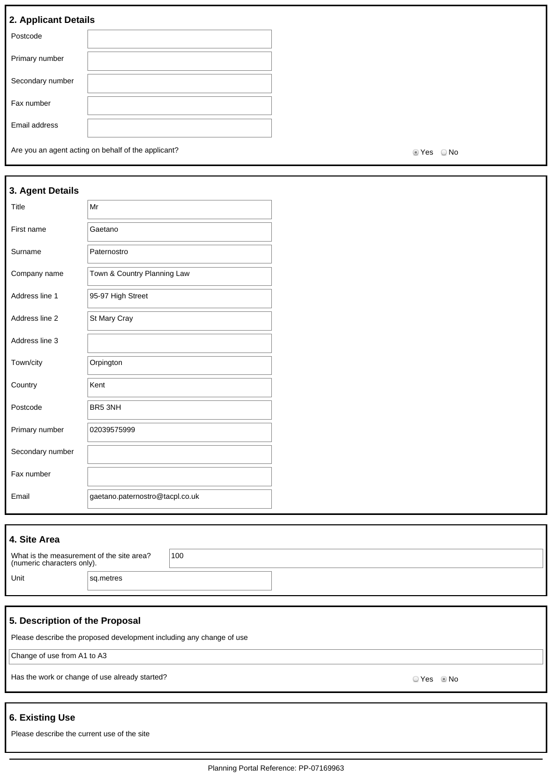# **2. Applicant Details**

| . .              |  |
|------------------|--|
| Postcode         |  |
| Primary number   |  |
| Secondary number |  |
| Fax number       |  |
| Email address    |  |

Are you an agent acting on behalf of the applicant? Are you are set of the solution of the applicant?

| 3. Agent Details |                                 |
|------------------|---------------------------------|
| Title            | $\vert$ Mr                      |
| First name       | Gaetano                         |
| Surname          | Paternostro                     |
| Company name     | Town & Country Planning Law     |
| Address line 1   | 95-97 High Street               |
| Address line 2   | St Mary Cray                    |
| Address line 3   |                                 |
| Town/city        | Orpington                       |
| Country          | Kent                            |
| Postcode         | BR5 3NH                         |
| Primary number   | 02039575999                     |
| Secondary number |                                 |
| Fax number       |                                 |
| Email            | gaetano.paternostro@tacpl.co.uk |

| 4. Site Area                                                            |           |     |  |
|-------------------------------------------------------------------------|-----------|-----|--|
| What is the measurement of the site area?<br>(numeric characters only). |           | 100 |  |
| Unit                                                                    | sq.metres |     |  |

### **5. Description of the Proposal**

Please describe the proposed development including any change of use

Change of use from A1 to A3

Has the work or change of use already started? No was also seen to the work of change of use already started?

### **6. Existing Use**

Please describe the current use of the site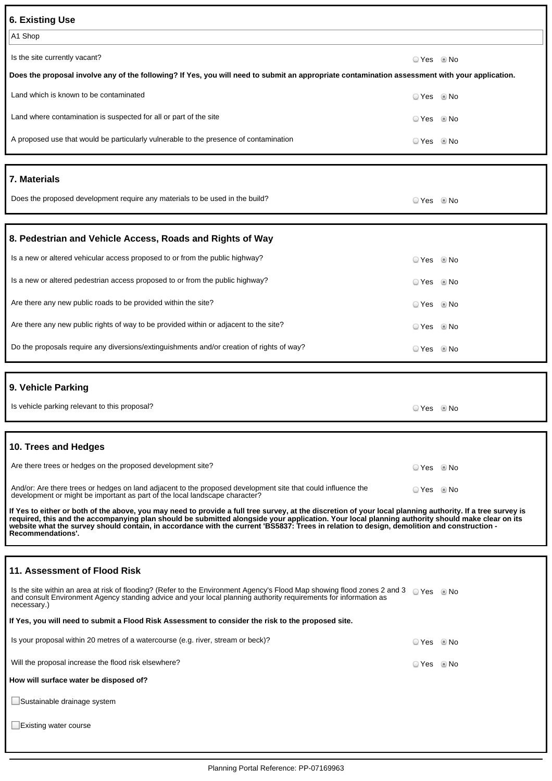| <b>6. Existing Use</b>                                                                                                                                                                                                                                                                                                                                                                                                                                                                  |            |      |
|-----------------------------------------------------------------------------------------------------------------------------------------------------------------------------------------------------------------------------------------------------------------------------------------------------------------------------------------------------------------------------------------------------------------------------------------------------------------------------------------|------------|------|
| A1 Shop                                                                                                                                                                                                                                                                                                                                                                                                                                                                                 |            |      |
| Is the site currently vacant?                                                                                                                                                                                                                                                                                                                                                                                                                                                           | ○ Yes ◎ No |      |
| Does the proposal involve any of the following? If Yes, you will need to submit an appropriate contamination assessment with your application.                                                                                                                                                                                                                                                                                                                                          |            |      |
| Land which is known to be contaminated                                                                                                                                                                                                                                                                                                                                                                                                                                                  | ◯ Yes      | © No |
| Land where contamination is suspected for all or part of the site                                                                                                                                                                                                                                                                                                                                                                                                                       | O Yes      | © No |
| A proposed use that would be particularly vulnerable to the presence of contamination                                                                                                                                                                                                                                                                                                                                                                                                   | ◯ Yes      | © No |
| 7. Materials                                                                                                                                                                                                                                                                                                                                                                                                                                                                            |            |      |
| Does the proposed development require any materials to be used in the build?                                                                                                                                                                                                                                                                                                                                                                                                            | ⊙ Yes © No |      |
| 8. Pedestrian and Vehicle Access, Roads and Rights of Way                                                                                                                                                                                                                                                                                                                                                                                                                               |            |      |
| Is a new or altered vehicular access proposed to or from the public highway?                                                                                                                                                                                                                                                                                                                                                                                                            | ☉ Yes      | © No |
| Is a new or altered pedestrian access proposed to or from the public highway?                                                                                                                                                                                                                                                                                                                                                                                                           | ☉ Yes      | l No |
| Are there any new public roads to be provided within the site?                                                                                                                                                                                                                                                                                                                                                                                                                          | ☉ Yes      | l No |
| Are there any new public rights of way to be provided within or adjacent to the site?                                                                                                                                                                                                                                                                                                                                                                                                   | ☉ Yes      | l No |
| Do the proposals require any diversions/extinguishments and/or creation of rights of way?                                                                                                                                                                                                                                                                                                                                                                                               | ☉ Yes      | l No |
| 9. Vehicle Parking                                                                                                                                                                                                                                                                                                                                                                                                                                                                      |            |      |
| Is vehicle parking relevant to this proposal?                                                                                                                                                                                                                                                                                                                                                                                                                                           | ☉ Yes      | l No |
| 10. Trees and Hedges                                                                                                                                                                                                                                                                                                                                                                                                                                                                    |            |      |
| Are there trees or hedges on the proposed development site?                                                                                                                                                                                                                                                                                                                                                                                                                             | ⊙ Yes ⊚ No |      |
| And/or: Are there trees or hedges on land adjacent to the proposed development site that could influence the<br>development or might be important as part of the local landscape character?                                                                                                                                                                                                                                                                                             | ⊙ Yes ◎ No |      |
| If Yes to either or both of the above, you may need to provide a full tree survey, at the discretion of your local planning authority. If a tree survey is<br>required, this and the accompanying plan should be submitted alongside your application. Your local planning authority should make clear on its<br>website what the survey should contain, in accordance with the current 'BS5837: Trees in relation to design, demolition and construction -<br><b>Recommendations'.</b> |            |      |
| 11. Assessment of Flood Risk                                                                                                                                                                                                                                                                                                                                                                                                                                                            |            |      |
| Is the site within an area at risk of flooding? (Refer to the Environment Agency's Flood Map showing flood zones 2 and 3 Q Yes O No<br>and consult Environment Agency standing advice and your local planning authority requirements for information as<br>necessary.)                                                                                                                                                                                                                  |            |      |
| If Yes, you will need to submit a Flood Risk Assessment to consider the risk to the proposed site.                                                                                                                                                                                                                                                                                                                                                                                      |            |      |
| Is your proposal within 20 metres of a watercourse (e.g. river, stream or beck)?                                                                                                                                                                                                                                                                                                                                                                                                        | © Yes © No |      |
| Will the proposal increase the flood risk elsewhere?                                                                                                                                                                                                                                                                                                                                                                                                                                    | © Yes © No |      |
| How will surface water be disposed of?                                                                                                                                                                                                                                                                                                                                                                                                                                                  |            |      |
| Sustainable drainage system                                                                                                                                                                                                                                                                                                                                                                                                                                                             |            |      |
| Existing water course                                                                                                                                                                                                                                                                                                                                                                                                                                                                   |            |      |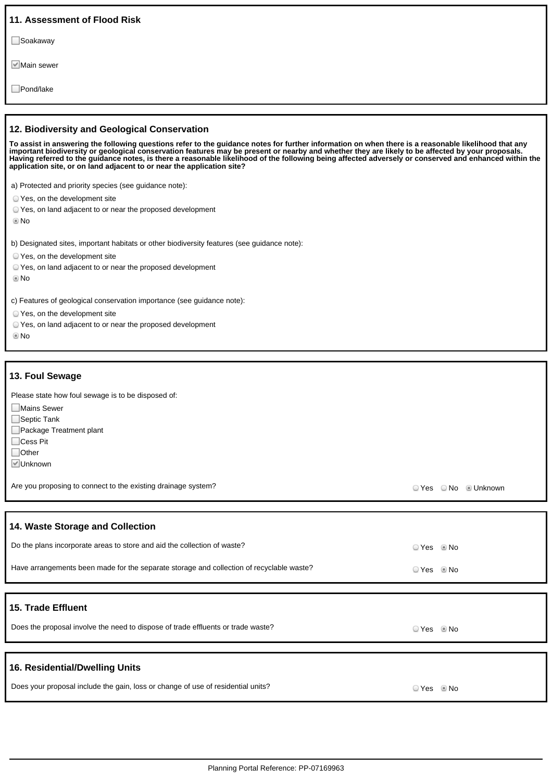| 11. Assessment of Flood Risk                                                                                                                                                                                                                                                                                                                                                                                                                                                                                                                                                                  |                      |  |
|-----------------------------------------------------------------------------------------------------------------------------------------------------------------------------------------------------------------------------------------------------------------------------------------------------------------------------------------------------------------------------------------------------------------------------------------------------------------------------------------------------------------------------------------------------------------------------------------------|----------------------|--|
| ⊟Soakaway                                                                                                                                                                                                                                                                                                                                                                                                                                                                                                                                                                                     |                      |  |
| l∀ Main sewer                                                                                                                                                                                                                                                                                                                                                                                                                                                                                                                                                                                 |                      |  |
| Pond/lake                                                                                                                                                                                                                                                                                                                                                                                                                                                                                                                                                                                     |                      |  |
|                                                                                                                                                                                                                                                                                                                                                                                                                                                                                                                                                                                               |                      |  |
| 12. Biodiversity and Geological Conservation<br>To assist in answering the following questions refer to the guidance notes for further information on when there is a reasonable likelihood that any<br>important biodiversity or geological conservation features may be present or nearby and whether they are likely to be affected by your proposals.<br>Having referred to the guidance notes, is there a reasonable likelihood of the following being affected adversely or conserved and enhanced within the<br>application site, or on land adjacent to or near the application site? |                      |  |
| a) Protected and priority species (see guidance note):<br>○ Yes, on the development site<br>O Yes, on land adjacent to or near the proposed development<br>© No                                                                                                                                                                                                                                                                                                                                                                                                                               |                      |  |
| b) Designated sites, important habitats or other biodiversity features (see guidance note):<br>○ Yes, on the development site<br>O Yes, on land adjacent to or near the proposed development<br>© No                                                                                                                                                                                                                                                                                                                                                                                          |                      |  |
| c) Features of geological conservation importance (see guidance note):<br>○ Yes, on the development site<br>O Yes, on land adjacent to or near the proposed development<br>$\odot$ No                                                                                                                                                                                                                                                                                                                                                                                                         |                      |  |
| 13. Foul Sewage                                                                                                                                                                                                                                                                                                                                                                                                                                                                                                                                                                               |                      |  |
| Please state how foul sewage is to be disposed of:<br><b>■Mains Sewer</b><br>Septic Tank<br>Package Treatment plant<br>$\Box$ Cess Pit<br>$\Box$ Other<br>⊠Unknown                                                                                                                                                                                                                                                                                                                                                                                                                            |                      |  |
|                                                                                                                                                                                                                                                                                                                                                                                                                                                                                                                                                                                               |                      |  |
| Are you proposing to connect to the existing drainage system?                                                                                                                                                                                                                                                                                                                                                                                                                                                                                                                                 | ○ Yes ○ No · Unknown |  |
|                                                                                                                                                                                                                                                                                                                                                                                                                                                                                                                                                                                               |                      |  |
| 14. Waste Storage and Collection                                                                                                                                                                                                                                                                                                                                                                                                                                                                                                                                                              |                      |  |
| Do the plans incorporate areas to store and aid the collection of waste?                                                                                                                                                                                                                                                                                                                                                                                                                                                                                                                      | ⊙ Yes © No           |  |
| Have arrangements been made for the separate storage and collection of recyclable waste?                                                                                                                                                                                                                                                                                                                                                                                                                                                                                                      | ⊙ Yes © No           |  |
| 15. Trade Effluent<br>Does the proposal involve the need to dispose of trade effluents or trade waste?                                                                                                                                                                                                                                                                                                                                                                                                                                                                                        | ⊙Yes ®No             |  |
|                                                                                                                                                                                                                                                                                                                                                                                                                                                                                                                                                                                               |                      |  |
| 16. Residential/Dwelling Units                                                                                                                                                                                                                                                                                                                                                                                                                                                                                                                                                                |                      |  |

ı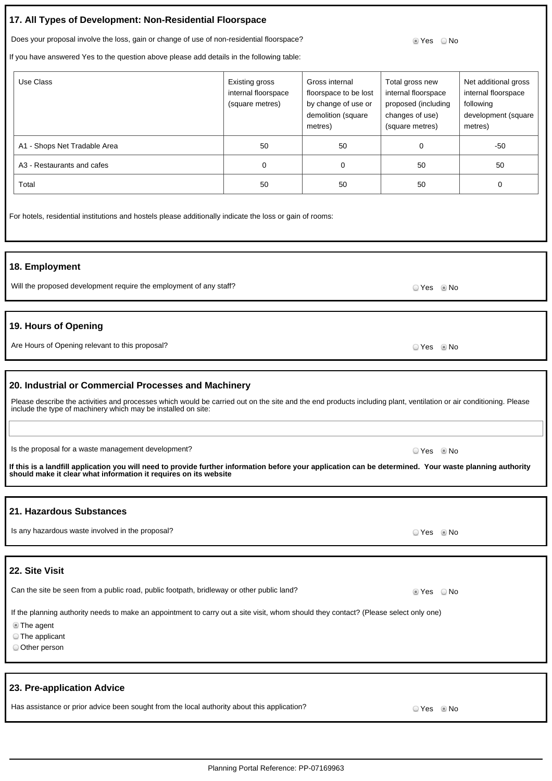## **17. All Types of Development: Non-Residential Floorspace**

Does your proposal involve the loss, gain or change of use of non-residential floorspace? So we say that I was the No

If you have answered Yes to the question above please add details in the following table:

| Use Class                    | Existing gross<br>internal floorspace<br>(square metres) | Gross internal<br>floorspace to be lost<br>by change of use or<br>demolition (square<br>metres) | Total gross new<br>internal floorspace<br>proposed (including<br>changes of use)<br>(square metres) | Net additional gross<br>internal floorspace<br>following<br>development (square<br>metres) |
|------------------------------|----------------------------------------------------------|-------------------------------------------------------------------------------------------------|-----------------------------------------------------------------------------------------------------|--------------------------------------------------------------------------------------------|
| A1 - Shops Net Tradable Area | 50                                                       | 50                                                                                              | 0                                                                                                   | -50                                                                                        |
| A3 - Restaurants and cafes   | 0                                                        | $\Omega$                                                                                        | 50                                                                                                  | 50                                                                                         |
| Total                        | 50                                                       | 50                                                                                              | 50                                                                                                  | 0                                                                                          |

For hotels, residential institutions and hostels please additionally indicate the loss or gain of rooms:

#### **18. Employment**

Will the proposed development require the employment of any staff? We will consider the employment of any staff?

### **19. Hours of Opening**

Are Hours of Opening relevant to this proposal? Yes No

#### **20. Industrial or Commercial Processes and Machinery**

| Please describe the activities and processes which would be carried out on the site and the end products including plant, ventilation or air conditioning. Please |  |
|-------------------------------------------------------------------------------------------------------------------------------------------------------------------|--|
| include the type of machinery which may be installed on site:                                                                                                     |  |

Is the proposal for a waste management development? In the set of the set of the proposal for a waste management development?

**If this is a landfill application you will need to provide further information before your application can be determined. Your waste planning authority should make it clear what information it requires on its website**

### **21. Hazardous Substances**

Is any hazardous waste involved in the proposal? In the state of the state of the No of the No of Yes No of No **22. Site Visit** Can the site be seen from a public road, public footpath, bridleway or other public land? Wes No If the planning authority needs to make an appointment to carry out a site visit, whom should they contact? (Please select only one) The agent The applicant Other person

### **23. Pre-application Advice**

Has assistance or prior advice been sought from the local authority about this application?  $\Box$  Yes No